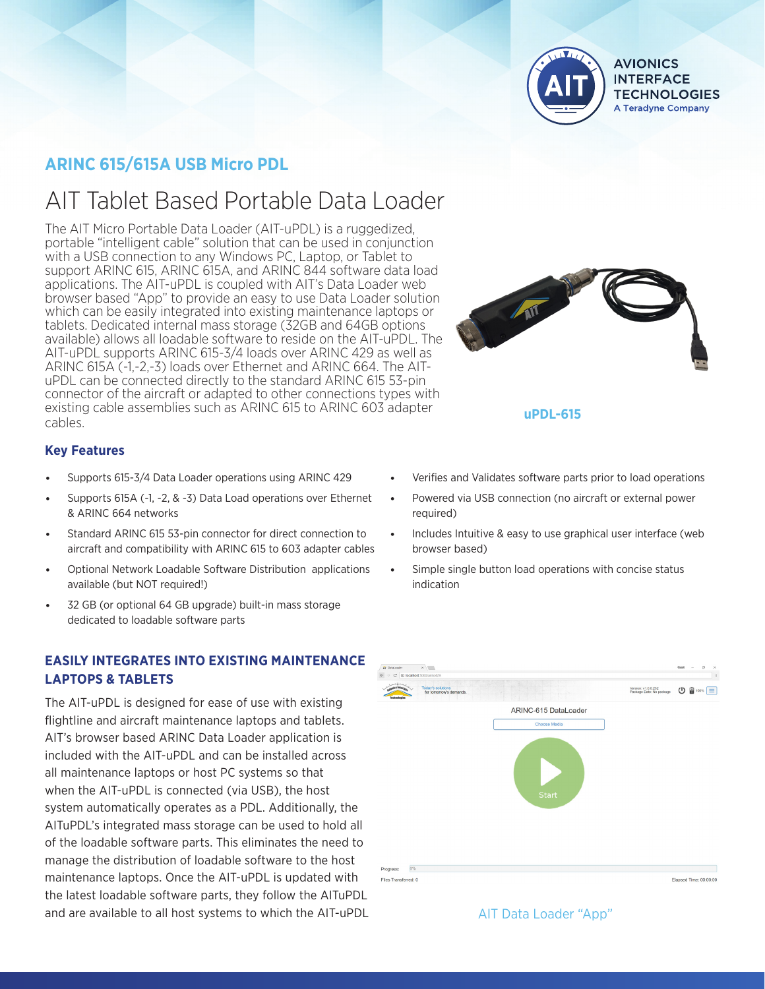

## **ARINC 615/615A USB Micro PDL**

# AIT Tablet Based Portable Data Loader

The AIT Micro Portable Data Loader (AIT-uPDL) is a ruggedized, portable "intelligent cable" solution that can be used in conjunction with a USB connection to any Windows PC, Laptop, or Tablet to support ARINC 615, ARINC 615A, and ARINC 844 software data load applications. The AIT-uPDL is coupled with AIT's Data Loader web browser based "App" to provide an easy to use Data Loader solution which can be easily integrated into existing maintenance laptops or tablets. Dedicated internal mass storage (32GB and 64GB options available) allows all loadable software to reside on the AIT-uPDL. The AIT-uPDL supports ARINC 615-3/4 loads over ARINC 429 as well as ARINC 615A (-1,-2,-3) loads over Ethernet and ARINC 664. The AITuPDL can be connected directly to the standard ARINC 615 53-pin connector of the aircraft or adapted to other connections types with existing cable assemblies such as ARINC 615 to ARINC 603 adapter cables.

#### **Key Features**

- Supports 615-3/4 Data Loader operations using ARINC 429
- Supports 615A (-1, -2, & -3) Data Load operations over Ethernet & ARINC 664 networks
- Standard ARINC 615 53-pin connector for direct connection to aircraft and compatibility with ARINC 615 to 603 adapter cables
- Optional Network Loadable Software Distribution applications available (but NOT required!)
- 32 GB (or optional 64 GB upgrade) built-in mass storage dedicated to loadable software parts

### **EASILY INTEGRATES INTO EXISTING MAINTENANCE LAPTOPS & TABLETS**

The AIT-uPDL is designed for ease of use with existing flightline and aircraft maintenance laptops and tablets. AIT's browser based ARINC Data Loader application is included with the AIT-uPDL and can be installed across all maintenance laptops or host PC systems so that when the AIT-uPDL is connected (via USB), the host system automatically operates as a PDL. Additionally, the AITuPDL's integrated mass storage can be used to hold all of the loadable software parts. This eliminates the need to manage the distribution of loadable software to the host maintenance laptops. Once the AIT-uPDL is updated with the latest loadable software parts, they follow the AITuPDL and are available to all host systems to which the AIT-uPDL AIT Data Loader "App"



**uPDL-615**

- Verifies and Validates software parts prior to load operations
- Powered via USB connection (no aircraft or external power required)
- Includes Intuitive & easy to use graphical user interface (web browser based)
- Simple single button load operations with concise status indication